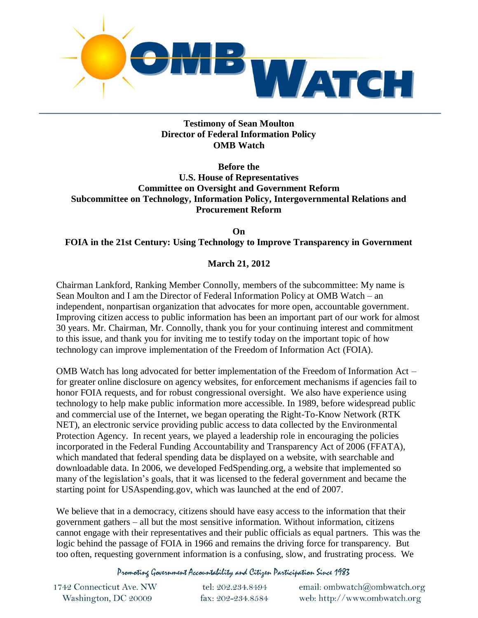

# **Testimony of Sean Moulton Director of Federal Information Policy OMB Watch**

**Before the** 

**U.S. House of Representatives Committee on Oversight and Government Reform Subcommittee on Technology, Information Policy, Intergovernmental Relations and Procurement Reform**

**On FOIA in the 21st Century: Using Technology to Improve Transparency in Government**

# **March 21, 2012**

Chairman Lankford, Ranking Member Connolly, members of the subcommittee: My name is Sean Moulton and I am the Director of Federal Information Policy at OMB Watch – an independent, nonpartisan organization that advocates for more open, accountable government. Improving citizen access to public information has been an important part of our work for almost 30 years. Mr. Chairman, Mr. Connolly, thank you for your continuing interest and commitment to this issue, and thank you for inviting me to testify today on the important topic of how technology can improve implementation of the Freedom of Information Act (FOIA).

OMB Watch has long advocated for better implementation of the Freedom of Information Act – for greater online disclosure on agency websites, for enforcement mechanisms if agencies fail to honor FOIA requests, and for robust congressional oversight. We also have experience using technology to help make public information more accessible. In 1989, before widespread public and commercial use of the Internet, we began operating the Right-To-Know Network (RTK NET), an electronic service providing public access to data collected by the Environmental Protection Agency. In recent years, we played a leadership role in encouraging the policies incorporated in the Federal Funding Accountability and Transparency Act of 2006 (FFATA), which mandated that federal spending data be displayed on a website, with searchable and downloadable data. In 2006, we developed FedSpending.org, a website that implemented so many of the legislation's goals, that it was licensed to the federal government and became the starting point for USAspending.gov, which was launched at the end of 2007.

We believe that in a democracy, citizens should have easy access to the information that their government gathers – all but the most sensitive information. Without information, citizens cannot engage with their representatives and their public officials as equal partners. This was the logic behind the passage of FOIA in 1966 and remains the driving force for transparency. But too often, requesting government information is a confusing, slow, and frustrating process. We

Promoting Government Accountability and Citizen Participation Since 1983

| 1742 Connecticut Ave. NW | tel: 202.234.8494 | email: ombwatch@ombwatch.org |
|--------------------------|-------------------|------------------------------|
| Washington, DC 20009     | fax: 202-234.8584 | web: http://www.ombwatch.org |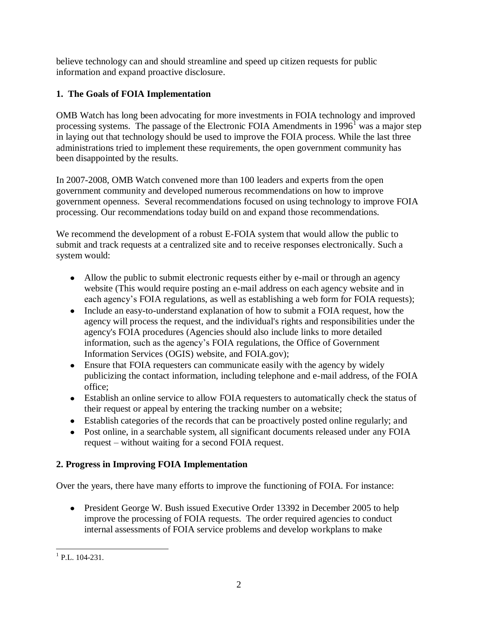believe technology can and should streamline and speed up citizen requests for public information and expand proactive disclosure.

# **1. The Goals of FOIA Implementation**

OMB Watch has long been advocating for more investments in FOIA technology and improved processing systems. The passage of the Electronic FOIA Amendments in  $1996<sup>1</sup>$  was a major step in laying out that technology should be used to improve the FOIA process. While the last three administrations tried to implement these requirements, the open government community has been disappointed by the results.

In 2007-2008, OMB Watch convened more than 100 leaders and experts from the open government community and developed numerous recommendations on how to improve government openness. Several recommendations focused on using technology to improve FOIA processing. Our recommendations today build on and expand those recommendations.

We recommend the development of a robust E-FOIA system that would allow the public to submit and track requests at a centralized site and to receive responses electronically. Such a system would:

- Allow the public to submit electronic requests either by e-mail or through an agency website (This would require posting an e-mail address on each agency website and in each agency's FOIA regulations, as well as establishing a web form for FOIA requests);
- Include an easy-to-understand explanation of how to submit a FOIA request, how the agency will process the request, and the individual's rights and responsibilities under the agency's FOIA procedures (Agencies should also include links to more detailed information, such as the agency's FOIA regulations, the Office of Government Information Services (OGIS) website, and FOIA.gov);
- Ensure that FOIA requesters can communicate easily with the agency by widely publicizing the contact information, including telephone and e-mail address, of the FOIA office;
- Establish an online service to allow FOIA requesters to automatically check the status of their request or appeal by entering the tracking number on a website;
- Establish categories of the records that can be proactively posted online regularly; and
- Post online, in a searchable system, all significant documents released under any FOIA request – without waiting for a second FOIA request.

# **2. Progress in Improving FOIA Implementation**

Over the years, there have many efforts to improve the functioning of FOIA. For instance:

• President George W. Bush issued Executive Order 13392 in December 2005 to help improve the processing of FOIA requests. The order required agencies to conduct internal assessments of FOIA service problems and develop workplans to make

<sup>&</sup>lt;sup>1</sup> P.L. 104-231.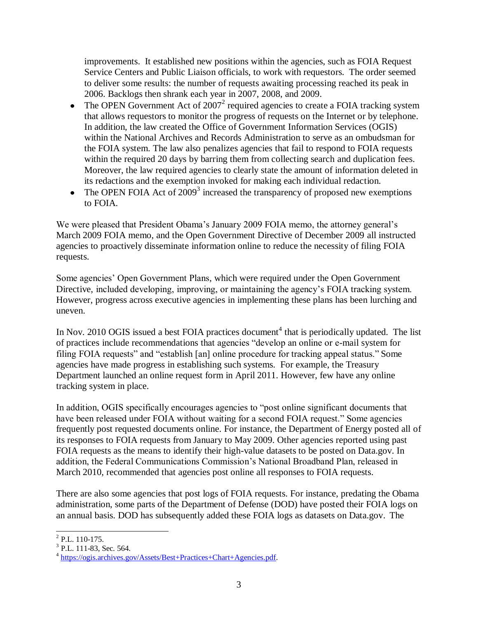improvements. It established new positions within the agencies, such as FOIA Request Service Centers and Public Liaison officials, to work with requestors. The order seemed to deliver some results: the number of requests awaiting processing reached its peak in 2006. Backlogs then shrank each year in 2007, 2008, and 2009.

- The OPEN Government Act of  $2007<sup>2</sup>$  required agencies to create a FOIA tracking system  $\bullet$ that allows requestors to monitor the progress of requests on the Internet or by telephone. In addition, the law created the Office of Government Information Services (OGIS) within the National Archives and Records Administration to serve as an ombudsman for the FOIA system. The law also penalizes agencies that fail to respond to FOIA requests within the required 20 days by barring them from collecting search and duplication fees. Moreover, the law required agencies to clearly state the amount of information deleted in its redactions and the exemption invoked for making each individual redaction.
- The OPEN FOIA Act of  $2009<sup>3</sup>$  increased the transparency of proposed new exemptions to FOIA.

We were pleased that President Obama's January 2009 FOIA memo, the attorney general's March 2009 FOIA memo, and the Open Government Directive of December 2009 all instructed agencies to proactively disseminate information online to reduce the necessity of filing FOIA requests.

Some agencies' Open Government Plans, which were required under the Open Government Directive, included developing, improving, or maintaining the agency's FOIA tracking system. However, progress across executive agencies in implementing these plans has been lurching and uneven.

In Nov. 2010 OGIS issued a best FOIA practices document<sup>4</sup> that is periodically updated. The list of practices include recommendations that agencies "develop an online or e-mail system for filing FOIA requests" and "establish [an] online procedure for tracking appeal status." Some agencies have made progress in establishing such systems. For example, the Treasury Department launched an online request form in April 2011. However, few have any online tracking system in place.

In addition, OGIS specifically encourages agencies to "post online significant documents that have been released under FOIA without waiting for a second FOIA request." Some agencies frequently post requested documents online. For instance, the Department of Energy posted all of its responses to FOIA requests from January to May 2009. Other agencies reported using past FOIA requests as the means to identify their high-value datasets to be posted on Data.gov. In addition, the Federal Communications Commission's National Broadband Plan, released in March 2010, recommended that agencies post online all responses to FOIA requests.

There are also some agencies that post logs of FOIA requests. For instance, predating the Obama administration, some parts of the Department of Defense (DOD) have posted their FOIA logs on an annual basis. DOD has subsequently added these FOIA logs as datasets on Data.gov. The

<sup>&</sup>lt;sup>2</sup> P.L. 110-175.

<sup>&</sup>lt;sup>3</sup> P.L. 111-83, Sec. 564.

<sup>&</sup>lt;sup>4</sup> [https://ogis.archives.gov/Assets/Best+Practices+Chart+Agencies.pdf.](https://ogis.archives.gov/Assets/Best+Practices+Chart+Agencies.pdf)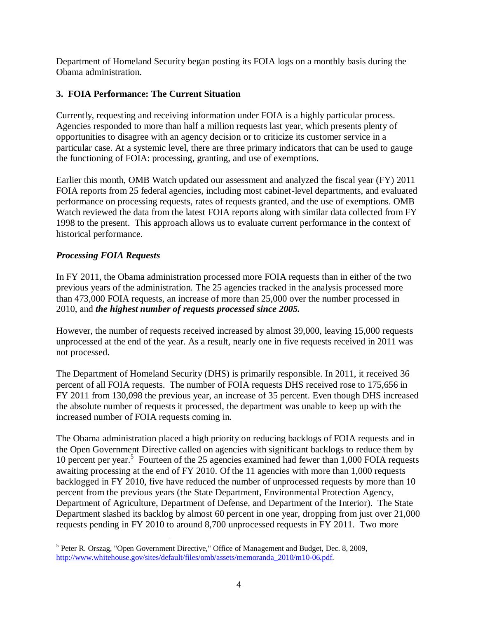Department of Homeland Security began posting its FOIA logs on a monthly basis during the Obama administration.

# **3. FOIA Performance: The Current Situation**

Currently, requesting and receiving information under FOIA is a highly particular process. Agencies responded to more than half a million requests last year, which presents plenty of opportunities to disagree with an agency decision or to criticize its customer service in a particular case. At a systemic level, there are three primary indicators that can be used to gauge the functioning of FOIA: processing, granting, and use of exemptions.

Earlier this month, OMB Watch updated our assessment and analyzed the fiscal year (FY) 2011 FOIA reports from 25 federal agencies, including most cabinet-level departments, and evaluated performance on processing requests, rates of requests granted, and the use of exemptions. OMB Watch reviewed the data from the latest FOIA reports along with similar data collected from FY 1998 to the present. This approach allows us to evaluate current performance in the context of historical performance.

# *Processing FOIA Requests*

In FY 2011, the Obama administration processed more FOIA requests than in either of the two previous years of the administration. The 25 agencies tracked in the analysis processed more than 473,000 FOIA requests, an increase of more than 25,000 over the number processed in 2010, and *the highest number of requests processed since 2005.* 

However, the number of requests received increased by almost 39,000, leaving 15,000 requests unprocessed at the end of the year. As a result, nearly one in five requests received in 2011 was not processed.

The Department of Homeland Security (DHS) is primarily responsible. In 2011, it received 36 percent of all FOIA requests. The number of FOIA requests DHS received rose to 175,656 in FY 2011 from 130,098 the previous year, an increase of 35 percent. Even though DHS increased the absolute number of requests it processed, the department was unable to keep up with the increased number of FOIA requests coming in.

The Obama administration placed a high priority on reducing backlogs of FOIA requests and in the Open Government Directive called on agencies with significant backlogs to reduce them by 10 percent per year.<sup>5</sup> Fourteen of the 25 agencies examined had fewer than 1,000 FOIA requests awaiting processing at the end of FY 2010. Of the 11 agencies with more than 1,000 requests backlogged in FY 2010, five have reduced the number of unprocessed requests by more than 10 percent from the previous years (the State Department, Environmental Protection Agency, Department of Agriculture, Department of Defense, and Department of the Interior). The State Department slashed its backlog by almost 60 percent in one year, dropping from just over 21,000 requests pending in FY 2010 to around 8,700 unprocessed requests in FY 2011. Two more

 <sup>5</sup> Peter R. Orszag, "Open Government Directive," Office of Management and Budget, Dec. 8, 2009, [http://www.whitehouse.gov/sites/default/files/omb/assets/memoranda\\_2010/m10-06.pdf.](http://www.whitehouse.gov/sites/default/files/omb/assets/memoranda_2010/m10-06.pdf)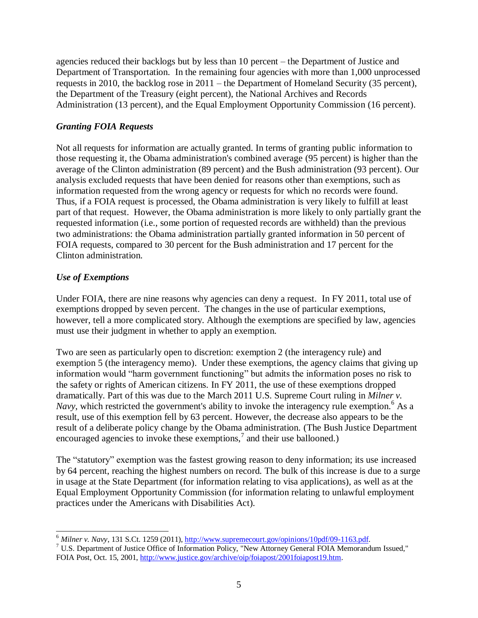agencies reduced their backlogs but by less than 10 percent – the Department of Justice and Department of Transportation. In the remaining four agencies with more than 1,000 unprocessed requests in 2010, the backlog rose in 2011 – the Department of Homeland Security (35 percent), the Department of the Treasury (eight percent), the National Archives and Records Administration (13 percent), and the Equal Employment Opportunity Commission (16 percent).

# *Granting FOIA Requests*

Not all requests for information are actually granted. In terms of granting public information to those requesting it, the Obama administration's combined average (95 percent) is higher than the average of the Clinton administration (89 percent) and the Bush administration (93 percent). Our analysis excluded requests that have been denied for reasons other than exemptions, such as information requested from the wrong agency or requests for which no records were found. Thus, if a FOIA request is processed, the Obama administration is very likely to fulfill at least part of that request. However, the Obama administration is more likely to only partially grant the requested information (i.e., some portion of requested records are withheld) than the previous two administrations: the Obama administration partially granted information in 50 percent of FOIA requests, compared to 30 percent for the Bush administration and 17 percent for the Clinton administration.

# *Use of Exemptions*

Under FOIA, there are nine reasons why agencies can deny a request. In FY 2011, total use of exemptions dropped by seven percent. The changes in the use of particular exemptions, however, tell a more complicated story. Although the exemptions are specified by law, agencies must use their judgment in whether to apply an exemption.

Two are seen as particularly open to discretion: exemption 2 (the interagency rule) and exemption 5 (the interagency memo). Under these exemptions, the agency claims that giving up information would "harm government functioning" but admits the information poses no risk to the safety or rights of American citizens. In FY 2011, the use of these exemptions dropped dramatically. Part of this was due to the March 2011 U.S. Supreme Court ruling in *Milner v. Navy*, which restricted the government's ability to invoke the interagency rule exemption.<sup>6</sup> As a result, use of this exemption fell by 63 percent. However, the decrease also appears to be the result of a deliberate policy change by the Obama administration. (The Bush Justice Department encouraged agencies to invoke these exemptions, $\alpha$  and their use ballooned.)

The "statutory" exemption was the fastest growing reason to deny information; its use increased by 64 percent, reaching the highest numbers on record. The bulk of this increase is due to a surge in usage at the State Department (for information relating to visa applications), as well as at the Equal Employment Opportunity Commission (for information relating to unlawful employment practices under the Americans with Disabilities Act).

 <sup>6</sup> *Milner v. Navy*, 131 S.Ct. 1259 (2011)[, http://www.supremecourt.gov/opinions/10pdf/09-1163.pdf.](http://www.supremecourt.gov/opinions/10pdf/09-1163.pdf)

<sup>7</sup> U.S. Department of Justice Office of Information Policy, "New Attorney General FOIA Memorandum Issued," FOIA Post, Oct. 15, 2001, [http://www.justice.gov/archive/oip/foiapost/2001foiapost19.htm.](http://www.justice.gov/archive/oip/foiapost/2001foiapost19.htm)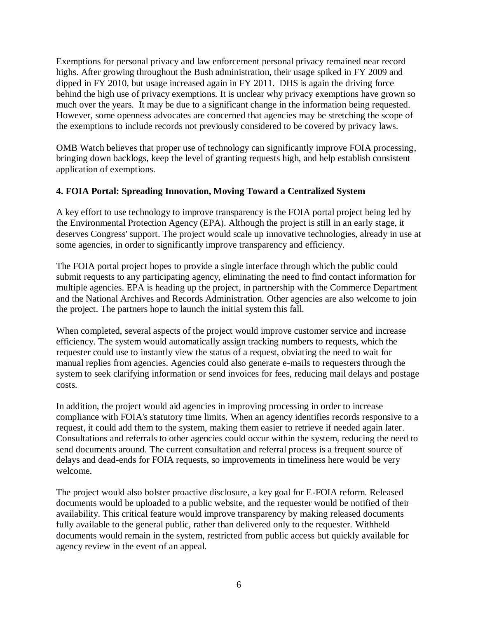Exemptions for personal privacy and law enforcement personal privacy remained near record highs. After growing throughout the Bush administration, their usage spiked in FY 2009 and dipped in FY 2010, but usage increased again in FY 2011. DHS is again the driving force behind the high use of privacy exemptions. It is unclear why privacy exemptions have grown so much over the years. It may be due to a significant change in the information being requested. However, some openness advocates are concerned that agencies may be stretching the scope of the exemptions to include records not previously considered to be covered by privacy laws.

OMB Watch believes that proper use of technology can significantly improve FOIA processing, bringing down backlogs, keep the level of granting requests high, and help establish consistent application of exemptions.

# **4. FOIA Portal: Spreading Innovation, Moving Toward a Centralized System**

A key effort to use technology to improve transparency is the FOIA portal project being led by the Environmental Protection Agency (EPA). Although the project is still in an early stage, it deserves Congress' support. The project would scale up innovative technologies, already in use at some agencies, in order to significantly improve transparency and efficiency.

The FOIA portal project hopes to provide a single interface through which the public could submit requests to any participating agency, eliminating the need to find contact information for multiple agencies. EPA is heading up the project, in partnership with the Commerce Department and the National Archives and Records Administration. Other agencies are also welcome to join the project. The partners hope to launch the initial system this fall.

When completed, several aspects of the project would improve customer service and increase efficiency. The system would automatically assign tracking numbers to requests, which the requester could use to instantly view the status of a request, obviating the need to wait for manual replies from agencies. Agencies could also generate e-mails to requesters through the system to seek clarifying information or send invoices for fees, reducing mail delays and postage costs.

In addition, the project would aid agencies in improving processing in order to increase compliance with FOIA's statutory time limits. When an agency identifies records responsive to a request, it could add them to the system, making them easier to retrieve if needed again later. Consultations and referrals to other agencies could occur within the system, reducing the need to send documents around. The current consultation and referral process is a frequent source of delays and dead-ends for FOIA requests, so improvements in timeliness here would be very welcome.

The project would also bolster proactive disclosure, a key goal for E-FOIA reform. Released documents would be uploaded to a public website, and the requester would be notified of their availability. This critical feature would improve transparency by making released documents fully available to the general public, rather than delivered only to the requester. Withheld documents would remain in the system, restricted from public access but quickly available for agency review in the event of an appeal.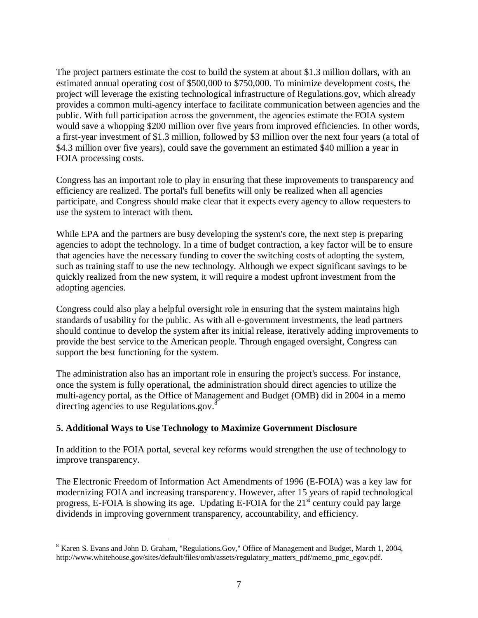The project partners estimate the cost to build the system at about \$1.3 million dollars, with an estimated annual operating cost of \$500,000 to \$750,000. To minimize development costs, the project will leverage the existing technological infrastructure of Regulations.gov, which already provides a common multi-agency interface to facilitate communication between agencies and the public. With full participation across the government, the agencies estimate the FOIA system would save a whopping \$200 million over five years from improved efficiencies. In other words, a first-year investment of \$1.3 million, followed by \$3 million over the next four years (a total of \$4.3 million over five years), could save the government an estimated \$40 million a year in FOIA processing costs.

Congress has an important role to play in ensuring that these improvements to transparency and efficiency are realized. The portal's full benefits will only be realized when all agencies participate, and Congress should make clear that it expects every agency to allow requesters to use the system to interact with them.

While EPA and the partners are busy developing the system's core, the next step is preparing agencies to adopt the technology. In a time of budget contraction, a key factor will be to ensure that agencies have the necessary funding to cover the switching costs of adopting the system, such as training staff to use the new technology. Although we expect significant savings to be quickly realized from the new system, it will require a modest upfront investment from the adopting agencies.

Congress could also play a helpful oversight role in ensuring that the system maintains high standards of usability for the public. As with all e-government investments, the lead partners should continue to develop the system after its initial release, iteratively adding improvements to provide the best service to the American people. Through engaged oversight, Congress can support the best functioning for the system.

The administration also has an important role in ensuring the project's success. For instance, once the system is fully operational, the administration should direct agencies to utilize the multi-agency portal, as the Office of Management and Budget (OMB) did in 2004 in a memo directing agencies to use Regulations.gov.<sup>8</sup>

# **5. Additional Ways to Use Technology to Maximize Government Disclosure**

In addition to the FOIA portal, several key reforms would strengthen the use of technology to improve transparency.

The Electronic Freedom of Information Act Amendments of 1996 (E-FOIA) was a key law for modernizing FOIA and increasing transparency. However, after 15 years of rapid technological progress, E-FOIA is showing its age. Updating E-FOIA for the  $21<sup>st</sup>$  century could pay large dividends in improving government transparency, accountability, and efficiency.

 <sup>8</sup> Karen S. Evans and John D. Graham, "Regulations.Gov," Office of Management and Budget, March 1, 2004, http://www.whitehouse.gov/sites/default/files/omb/assets/regulatory\_matters\_pdf/memo\_pmc\_egov.pdf.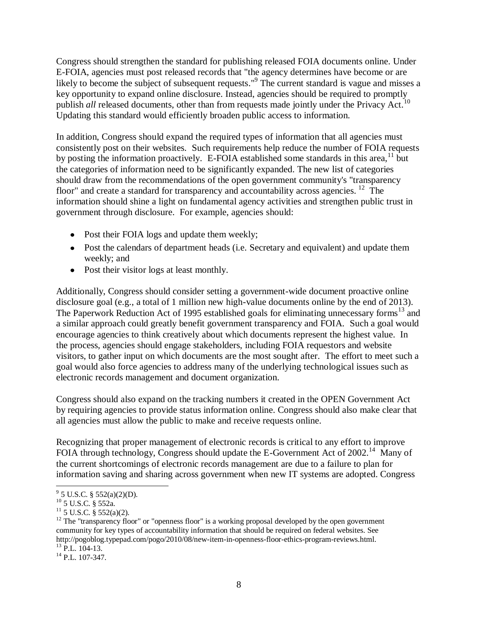Congress should strengthen the standard for publishing released FOIA documents online. Under E-FOIA, agencies must post released records that "the agency determines have become or are likely to become the subject of subsequent requests."<sup>9</sup> The current standard is vague and misses a key opportunity to expand online disclosure. Instead, agencies should be required to promptly publish *all* released documents, other than from requests made jointly under the Privacy Act.<sup>10</sup> Updating this standard would efficiently broaden public access to information.

In addition, Congress should expand the required types of information that all agencies must consistently post on their websites. Such requirements help reduce the number of FOIA requests by posting the information proactively. E-FOIA established some standards in this area,  $11$  but the categories of information need to be significantly expanded. The new list of categories should draw from the recommendations of the open government community's "transparency floor" and create a standard for transparency and accountability across agencies.  $12$  The information should shine a light on fundamental agency activities and strengthen public trust in government through disclosure. For example, agencies should:

- Post their FOIA logs and update them weekly;
- Post the calendars of department heads (i.e. Secretary and equivalent) and update them weekly; and
- Post their visitor logs at least monthly.

Additionally, Congress should consider setting a government-wide document proactive online disclosure goal (e.g., a total of 1 million new high-value documents online by the end of 2013). The Paperwork Reduction Act of 1995 established goals for eliminating unnecessary forms<sup>13</sup> and a similar approach could greatly benefit government transparency and FOIA. Such a goal would encourage agencies to think creatively about which documents represent the highest value. In the process, agencies should engage stakeholders, including FOIA requestors and website visitors, to gather input on which documents are the most sought after. The effort to meet such a goal would also force agencies to address many of the underlying technological issues such as electronic records management and document organization.

Congress should also expand on the tracking numbers it created in the OPEN Government Act by requiring agencies to provide status information online. Congress should also make clear that all agencies must allow the public to make and receive requests online.

Recognizing that proper management of electronic records is critical to any effort to improve FOIA through technology, Congress should update the E-Government Act of 2002.<sup>14</sup> Many of the current shortcomings of electronic records management are due to a failure to plan for information saving and sharing across government when new IT systems are adopted. Congress

 9 5 U.S.C. § 552(a)(2)(D).

 $^{10}$  5 U.S.C. § 552a.

 $11\overline{5}$  U.S.C. § 552(a)(2).

<sup>&</sup>lt;sup>12</sup> The "transparency floor" or "openness floor" is a working proposal developed by the open government community for key types of accountability information that should be required on federal websites. See http://pogoblog.typepad.com/pogo/2010/08/new-item-in-openness-floor-ethics-program-reviews.html.  $13 \text{ P.L.} 104-13.$ 

 $^{14}$  P.L. 107-347.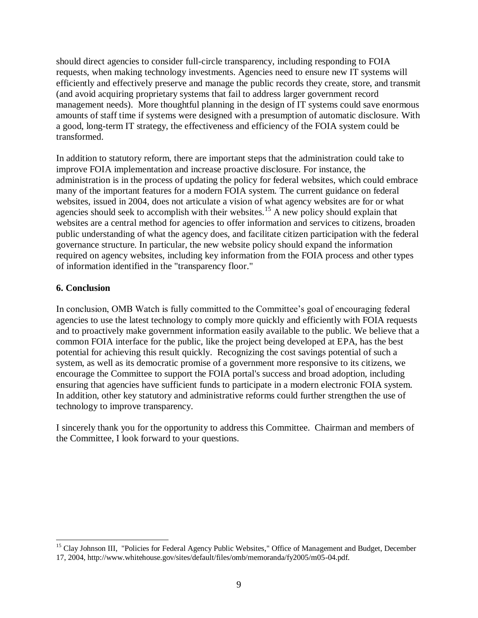should direct agencies to consider full-circle transparency, including responding to FOIA requests, when making technology investments. Agencies need to ensure new IT systems will efficiently and effectively preserve and manage the public records they create, store, and transmit (and avoid acquiring proprietary systems that fail to address larger government record management needs). More thoughtful planning in the design of IT systems could save enormous amounts of staff time if systems were designed with a presumption of automatic disclosure. With a good, long-term IT strategy, the effectiveness and efficiency of the FOIA system could be transformed.

In addition to statutory reform, there are important steps that the administration could take to improve FOIA implementation and increase proactive disclosure. For instance, the administration is in the process of updating the policy for federal websites, which could embrace many of the important features for a modern FOIA system. The current guidance on federal websites, issued in 2004, does not articulate a vision of what agency websites are for or what agencies should seek to accomplish with their websites.<sup>15</sup> A new policy should explain that websites are a central method for agencies to offer information and services to citizens, broaden public understanding of what the agency does, and facilitate citizen participation with the federal governance structure. In particular, the new website policy should expand the information required on agency websites, including key information from the FOIA process and other types of information identified in the "transparency floor."

# **6. Conclusion**

In conclusion, OMB Watch is fully committed to the Committee's goal of encouraging federal agencies to use the latest technology to comply more quickly and efficiently with FOIA requests and to proactively make government information easily available to the public. We believe that a common FOIA interface for the public, like the project being developed at EPA, has the best potential for achieving this result quickly. Recognizing the cost savings potential of such a system, as well as its democratic promise of a government more responsive to its citizens, we encourage the Committee to support the FOIA portal's success and broad adoption, including ensuring that agencies have sufficient funds to participate in a modern electronic FOIA system. In addition, other key statutory and administrative reforms could further strengthen the use of technology to improve transparency.

I sincerely thank you for the opportunity to address this Committee. Chairman and members of the Committee, I look forward to your questions.

<sup>&</sup>lt;sup>15</sup> Clay Johnson III, "Policies for Federal Agency Public Websites," Office of Management and Budget, December 17, 2004, http://www.whitehouse.gov/sites/default/files/omb/memoranda/fy2005/m05-04.pdf.